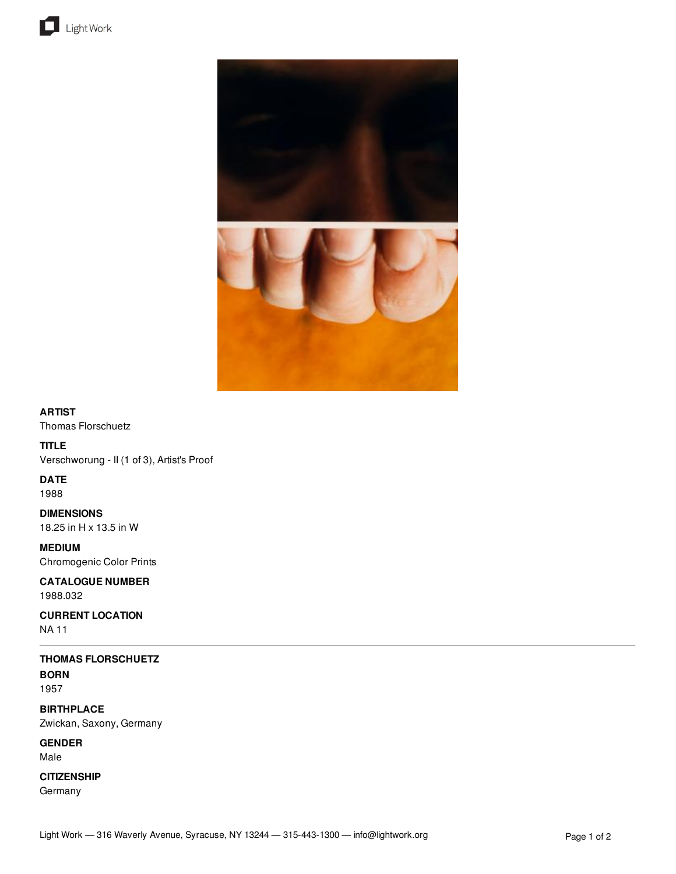



### **ARTIST**

Thomas Florschuetz

# **TITLE**

Verschworung - II (1 of 3), Artist's Proof

## **DATE**

1988

**DIMENSIONS** 18.25 in H x 13.5 in W

**MEDIUM** Chromogenic Color Prints

### **CATALOGUE NUMBER** 1988.032

**CURRENT LOCATION** NA 11

# **THOMAS FLORSCHUETZ**

**BORN** 1957

**BIRTHPLACE** Zwickan, Saxony, Germany

**GENDER** Male

# **CITIZENSHIP**